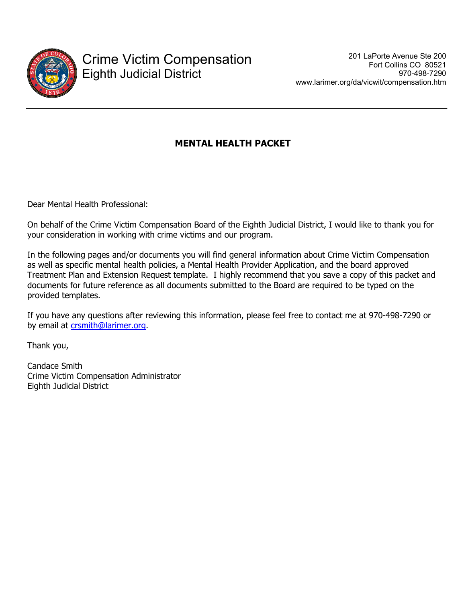

# **MENTAL HEALTH PACKET**

Dear Mental Health Professional:

On behalf of the Crime Victim Compensation Board of the Eighth Judicial District, I would like to thank you for your consideration in working with crime victims and our program.

In the following pages and/or documents you will find general information about Crime Victim Compensation as well as specific mental health policies, a Mental Health Provider Application, and the board approved Treatment Plan and Extension Request template. I highly recommend that you save a copy of this packet and documents for future reference as all documents submitted to the Board are required to be typed on the provided templates.

If you have any questions after reviewing this information, please feel free to contact me at 970-498-7290 or by email at crsmith@larimer.org.

Thank you,

Candace Smith Crime Victim Compensation Administrator Eighth Judicial District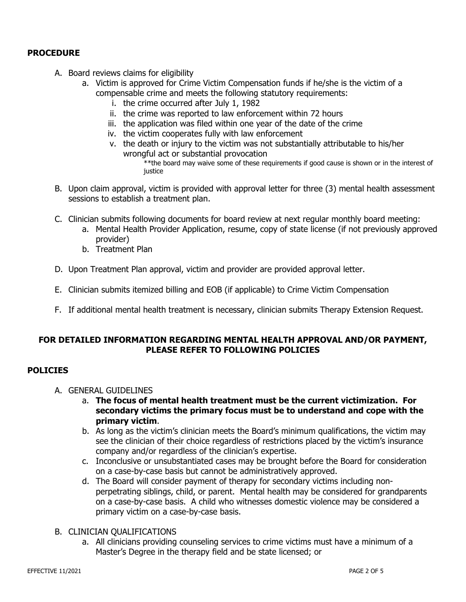# **PROCEDURE**

- A. Board reviews claims for eligibility
	- a. Victim is approved for Crime Victim Compensation funds if he/she is the victim of a compensable crime and meets the following statutory requirements:
		- i. the crime occurred after July 1, 1982
		- ii. the crime was reported to law enforcement within 72 hours
		- iii. the application was filed within one year of the date of the crime
		- iv. the victim cooperates fully with law enforcement
		- v. the death or injury to the victim was not substantially attributable to his/her wrongful act or substantial provocation

\*\*the board may waive some of these requirements if good cause is shown or in the interest of justice

- B. Upon claim approval, victim is provided with approval letter for three (3) mental health assessment sessions to establish a treatment plan.
- C. Clinician submits following documents for board review at next regular monthly board meeting:
	- a. Mental Health Provider Application, resume, copy of state license (if not previously approved provider)
	- b. Treatment Plan
- D. Upon Treatment Plan approval, victim and provider are provided approval letter.
- E. Clinician submits itemized billing and EOB (if applicable) to Crime Victim Compensation
- F. If additional mental health treatment is necessary, clinician submits Therapy Extension Request.

### **FOR DETAILED INFORMATION REGARDING MENTAL HEALTH APPROVAL AND/OR PAYMENT, PLEASE REFER TO FOLLOWING POLICIES**

### **POLICIES**

- A. GENERAL GUIDELINES
	- a. **The focus of mental health treatment must be the current victimization. For secondary victims the primary focus must be to understand and cope with the primary victim**.
	- b. As long as the victim's clinician meets the Board's minimum qualifications, the victim may see the clinician of their choice regardless of restrictions placed by the victim's insurance company and/or regardless of the clinician's expertise.
	- c. Inconclusive or unsubstantiated cases may be brought before the Board for consideration on a case-by-case basis but cannot be administratively approved.
	- d. The Board will consider payment of therapy for secondary victims including nonperpetrating siblings, child, or parent. Mental health may be considered for grandparents on a case-by-case basis. A child who witnesses domestic violence may be considered a primary victim on a case-by-case basis.
- B. CLINICIAN QUALIFICATIONS
	- a. All clinicians providing counseling services to crime victims must have a minimum of a Master's Degree in the therapy field and be state licensed; or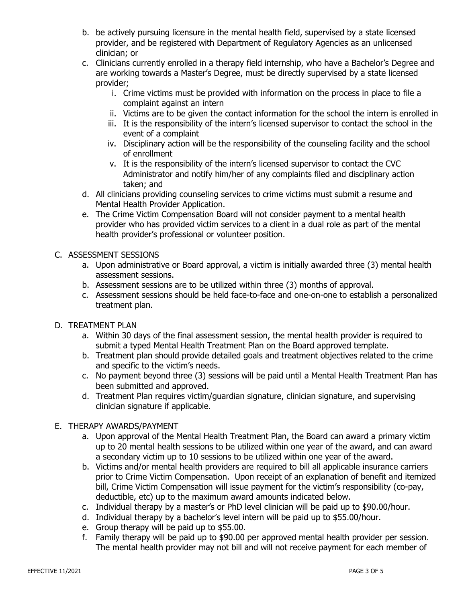- b. be actively pursuing licensure in the mental health field, supervised by a state licensed provider, and be registered with Department of Regulatory Agencies as an unlicensed clinician; or
- c. Clinicians currently enrolled in a therapy field internship, who have a Bachelor's Degree and are working towards a Master's Degree, must be directly supervised by a state licensed provider;
	- i. Crime victims must be provided with information on the process in place to file a complaint against an intern
	- ii. Victims are to be given the contact information for the school the intern is enrolled in
	- iii. It is the responsibility of the intern's licensed supervisor to contact the school in the event of a complaint
	- iv. Disciplinary action will be the responsibility of the counseling facility and the school of enrollment
	- v. It is the responsibility of the intern's licensed supervisor to contact the CVC Administrator and notify him/her of any complaints filed and disciplinary action taken; and
- d. All clinicians providing counseling services to crime victims must submit a resume and Mental Health Provider Application.
- e. The Crime Victim Compensation Board will not consider payment to a mental health provider who has provided victim services to a client in a dual role as part of the mental health provider's professional or volunteer position.

# C. ASSESSMENT SESSIONS

- a. Upon administrative or Board approval, a victim is initially awarded three (3) mental health assessment sessions.
- b. Assessment sessions are to be utilized within three (3) months of approval.
- c. Assessment sessions should be held face-to-face and one-on-one to establish a personalized treatment plan.
- D. TREATMENT PLAN
	- a. Within 30 days of the final assessment session, the mental health provider is required to submit a typed Mental Health Treatment Plan on the Board approved template.
	- b. Treatment plan should provide detailed goals and treatment objectives related to the crime and specific to the victim's needs.
	- c. No payment beyond three (3) sessions will be paid until a Mental Health Treatment Plan has been submitted and approved.
	- d. Treatment Plan requires victim/guardian signature, clinician signature, and supervising clinician signature if applicable.

# E. THERAPY AWARDS/PAYMENT

- a. Upon approval of the Mental Health Treatment Plan, the Board can award a primary victim up to 20 mental health sessions to be utilized within one year of the award, and can award a secondary victim up to 10 sessions to be utilized within one year of the award.
- b. Victims and/or mental health providers are required to bill all applicable insurance carriers prior to Crime Victim Compensation. Upon receipt of an explanation of benefit and itemized bill, Crime Victim Compensation will issue payment for the victim's responsibility (co-pay, deductible, etc) up to the maximum award amounts indicated below.
- c. Individual therapy by a master's or PhD level clinician will be paid up to \$90.00/hour.
- d. Individual therapy by a bachelor's level intern will be paid up to \$55.00/hour.
- e. Group therapy will be paid up to \$55.00.
- f. Family therapy will be paid up to \$90.00 per approved mental health provider per session. The mental health provider may not bill and will not receive payment for each member of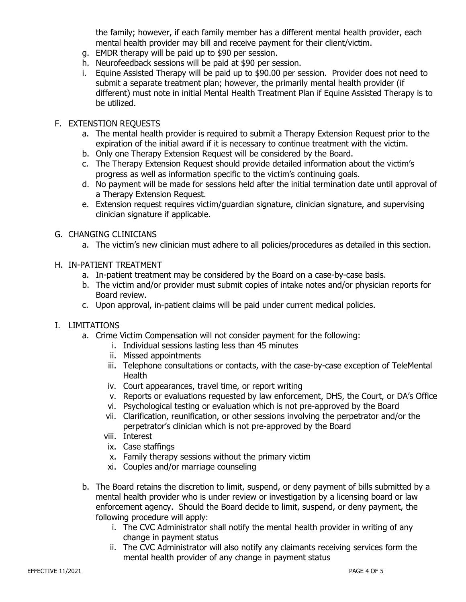the family; however, if each family member has a different mental health provider, each mental health provider may bill and receive payment for their client/victim.

- g. EMDR therapy will be paid up to \$90 per session.
- h. Neurofeedback sessions will be paid at \$90 per session.
- i. Equine Assisted Therapy will be paid up to \$90.00 per session. Provider does not need to submit a separate treatment plan; however, the primarily mental health provider (if different) must note in initial Mental Health Treatment Plan if Equine Assisted Therapy is to be utilized.

## F. EXTENSTION REQUESTS

- a. The mental health provider is required to submit a Therapy Extension Request prior to the expiration of the initial award if it is necessary to continue treatment with the victim.
- b. Only one Therapy Extension Request will be considered by the Board.
- c. The Therapy Extension Request should provide detailed information about the victim's progress as well as information specific to the victim's continuing goals.
- d. No payment will be made for sessions held after the initial termination date until approval of a Therapy Extension Request.
- e. Extension request requires victim/guardian signature, clinician signature, and supervising clinician signature if applicable.
- G. CHANGING CLINICIANS
	- a. The victim's new clinician must adhere to all policies/procedures as detailed in this section.
- H. IN-PATIENT TREATMENT
	- a. In-patient treatment may be considered by the Board on a case-by-case basis.
	- b. The victim and/or provider must submit copies of intake notes and/or physician reports for Board review.
	- c. Upon approval, in-patient claims will be paid under current medical policies.

### I. LIMITATIONS

- a. Crime Victim Compensation will not consider payment for the following:
	- i. Individual sessions lasting less than 45 minutes
	- ii. Missed appointments
	- iii. Telephone consultations or contacts, with the case-by-case exception of TeleMental Health
	- iv. Court appearances, travel time, or report writing
	- v. Reports or evaluations requested by law enforcement, DHS, the Court, or DA's Office
	- vi. Psychological testing or evaluation which is not pre-approved by the Board
	- vii. Clarification, reunification, or other sessions involving the perpetrator and/or the perpetrator's clinician which is not pre-approved by the Board
	- viii. Interest
	- ix. Case staffings
	- x. Family therapy sessions without the primary victim
	- xi. Couples and/or marriage counseling
- b. The Board retains the discretion to limit, suspend, or deny payment of bills submitted by a mental health provider who is under review or investigation by a licensing board or law enforcement agency. Should the Board decide to limit, suspend, or deny payment, the following procedure will apply:
	- i. The CVC Administrator shall notify the mental health provider in writing of any change in payment status
	- ii. The CVC Administrator will also notify any claimants receiving services form the mental health provider of any change in payment status